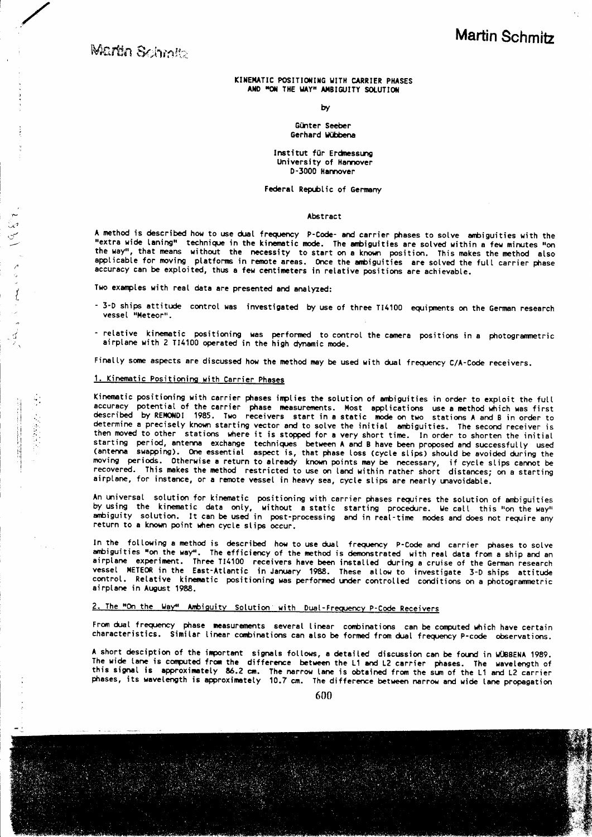**Martin Schmitz** 

アンプラー

## KINEMATIC POSITIONING WITH CARRIER PHASES AND MON THE WAYM AMBIGUITY SOLUTION

**by** 

Günter Seeber Gerhard Wübbena

Institut für Erdmessung University of Hannover D-3000 Hannover

Federal Republic of Germany

#### Abstract

A method is described how to use dual frequency P-Code- and carrier phases to solve ambiguities with the "extra wide laning" technique in the kinematic mode. The ambiguities are solved within a few minutes "on the way", that means without the necessity to start on a known position. This makes the method also applicable for moving platforms in remote areas. Once the ambiguities are solved the full carrier phase accuracy can be exploited, thus a few centimeters in relative positions are achievable.

Two examples with real data are presented and analyzed:

- 3-D ships attitude control was investigated by use of three TI4100 equipments on the German research vessel "Meteor".
- relative kinematic positioning was performed to control the camera positions in a photogrammetric airplane with 2 TI4100 operated in the high dynamic mode.

Finally some aspects are discussed how the method may be used with dual frequency C/A-Code receivers.

## 1. Kinematic Positioning with Carrier Phases

Kinematic positioning with carrier phases implies the solution of ambiguities in order to exploit the full accuracy potential of the carrier phase measurements. Most applications use a method which was first described by REMONDI 1985. Two receivers start in a static mode on two stations A and B in order to determine a precisely known starting vector and to solve the initial ambiguities. The second receiver is then moved to other stations where it is stopped for a very short time. In order to shorten the initial starting period, antenna exchange techniques between A and B have been proposed and successfully used<br>(antenna swapping). One essential aspect is, that phase loss (cycle slips) should be avoided during the<br>moving periods. airplane, for instance, or a remote vessel in heavy sea, cycle slips are nearly unavoidable.

An universal solution for kinematic positioning with carrier phases requires the solution of ambiguities by using the kinematic data only, without a static starting procedure. We call this "on the way" ambiguity solution. It can be used in post-processing and in real-time modes and does not require any return to a known point when cycle slips occur.

In the following a method is described how to use dual frequency P-Code and carrier phases to solve ambiguities "on the way". The efficiency of the method is demonstrated with real data from a ship and an airplane experiment. Three T14100 receivers have been installed during a cruise of the German research vessel METEOR in the East-Atlantic in January 1988. These allow to investigate 3-D ships attitude control. Relative kinematic positioning was performed under controlled conditions on a photogrammetric airplane in August 1988.

# 2. The "On the Way" Ambiguity Solution with Dual-Frequency P-Code Receivers

From dual frequency phase measurements several linear combinations can be computed which have certain characteristics. Similar linear combinations can also be formed from dual frequency P-code observations.

A short desciption of the important signals follows, a detailed discussion can be found in WUBBENA 1989. The wide tane is computed from the difference between the L1 and L2 carrier phases. The wavelength of this signal is approximately 86.2 cm. The narrow lane is obtained from the sum of the L1 and L2 carrier<br>phases, its wavelength is approximately 10.7 cm. The difference between narrow and wide lane propagation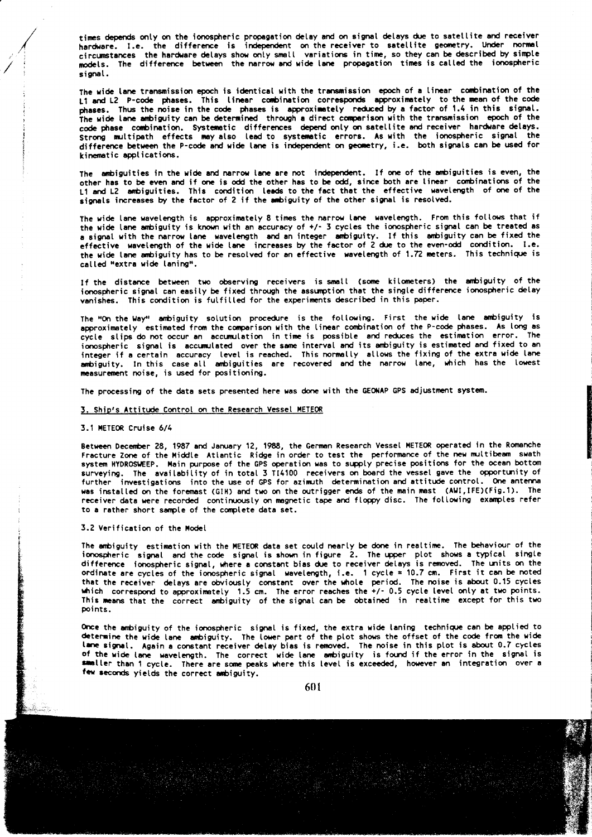times depends only on the ionospheric propagation delay and on signal delays due to satellite and receiver hardware. I.e. the difference is independent on the receiver to satellite geometry. Under normal<br>circumstances the hardware delays show only small variations in time, so they can be described by simple models. The difference between the narrow and wide lane propagation times is called the ionospheric signal.

The wide lane transmission epoch is identical with the transmission epoch of a linear combination of the L1 and L2 P-code phases. This linear combination corresponds approximately to the mean of the code phases. Thus the noise in the code phases is approximately reduced by a factor of 1.4 in this signal. The wide lane ambiguity can be determined through a direct comparison with the transmission epoch of the code phase combination. Systematic differences depend only on satellite and receiver hardware delays. Strong multipath effects may also lead to systematic errors. As with the ionospheric signal the difference between the P-code and wide lane is independent on geometry, i.e. both signals can be used for kinematic applications.

The ambiguities in the wide and narrow lane are not independent. If one of the ambiguities is even, the other has to be even and if one is odd the other has to be odd, since both are linear combinations of the L1 and L2 ambiguities. This condition leads to the fact that the effective wavelength of one of the signals increases by the factor of 2 if the ambiguity of the other signal is resolved.

The wide lane wavelength is approximately 8 times the narrow lane wavelength. From this follows that if the wide lane ambiguity is known with an accuracy of +/- 3 cycles the ionospheric signal can be treated as a signal with the narrow lane wavelength and an integer ambiguity. If this ambiguity can be fixed the effective wavelength of the wide lane increases by the factor of 2 due to the even-odd condition. I.e. the wide lane ambiguity has to be resolved for an effective wavelength of 1.72 meters. This technique is called "extra wide laning".

If the distance between two observing receivers is small (some kilometers) the ambiguity of the ionospheric signal can easily be fixed through the assumption that the single difference ionospheric delay vanishes. This condition is fulfilled for the experiments described in this paper.

The "On the Way" ambiguity solution procedure is the following. First the wide lane ambiguity is approximately estimated from the comparison with the linear combination of the P-code phases. As long as cycle slips do not occur an accumulation in time is possible and reduces the estimation error. The ionospheric signal is accumulated over the same interval and its ambiguity is estimated and fixed to an integer if a certain accuracy level is reached. This normally allows the fixing of the extra wide lane<br>ambiguity. In this case all ambiguities are recovered and the narrow lane, which has the lowest measurement noise, is used for positioning.

The processing of the data sets presented here was done with the GEONAP GPS adjustment system.

### 3. Ship's Attitude Control on the Research Vessel METEOR

### 3.1 METEOR Cruise 6/4

Between December 28, 1987 and January 12, 1988, the German Research Vessel METEOR operated in the Romanche Fracture Zone of the Middle Atlantic Ridge in order to test the performance of the new multibeam swath system HYDROSWEEP. Main purpose of the GPS operation was to supply precise positions for the ocean bottom surveying. The availability of in total 3 T14100 receivers on board the vessel gave the opportunity of further investigations into the use of GPS for azimuth determination and attitude control. One antenna was installed on the foremast (GIH) and two on the outrigger ends of the main mast (AWI, IFE)(Fig.1). The receiver data were recorded continuously on magnetic tape and floppy disc. The following examples refer to a rather short sample of the complete data set.

## 3.2 Verification of the Model

The ambiguity estimation with the METEOR data set could nearly be done in realtime. The behaviour of the ionospheric signal and the code signal is shown in figure 2. The upper plot shows a typical single difference ionospheric signal, where a constant bias due to receiver delays is removed. The units on the ordinate are cycles of the ionospheric signal wavelength, i.e. 1 cycle = 10.7 cm. First it can be noted that the receiver delays are obviously constant over the whole period. The noise is about 0.15 cycles which correspond to approximately 1.5 cm. The error reaches the  $+/$ - 0.5 cycle level only at two points. This means that the correct ambiguity of the signal can be obtained in realtime except for this two points.

Once the ambiguity of the ionospheric signal is fixed, the extra wide laning technique can be applied to determine the wide lane ambiguity. The lower part of the plot shows the offset of the code from the wide lane signal. Again a constant receiver delay bias is removed. The noise in this plot is about 0.7 cycles of the wide lane wavelength. The correct wide lane ambiguity is found if the error in the signal is smaller than 1 cycle. There are some peaks where this level is exceeded, however an integration over a few seconds yields the correct ambiguity.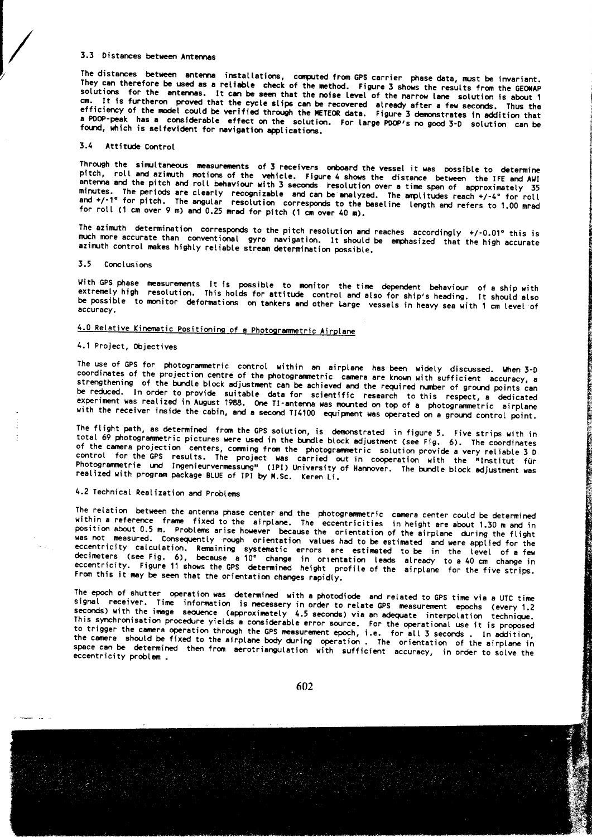# 3.3 Distances between Antennas

The distances between antenna installations, computed from GPS carrier phase data, must be invariant. They can therefore be used as a reliable check of the method. Figure 3 shows the results from the GEONAP solutions for the antennas. It can be seen that the noise level of the narrow lane solution is about 1 cm. It is furtheron proved that the cycle slips can be recovered already after a few seconds. Thus the efficiency of the model could be verified through the METEOR data. Figure 3 demonstrates in addition that a PDDP-peak has a considerable effect on the solution. For large PDOP's no good 3-D solution can be found, which is selfevident for navigation applications.

# 3.4 Attitude Control

Through the simultaneous measurements of 3 receivers onboard the vessel it was possible to determine pitch, roll and azimuth motions of the vehicle. Figure 4 shows the distance between the IFE and AWI antenna and the pitch and roll behaviour with 3 seconds resolution over a time span of approximately 35 minutes. The periods are clearly recognizable and can be analyzed. The amplitudes reach +/-4° for roll<br>and +/-1° for pitch. The angular resolution corresponds to the baseline length and refers to 1.00 mrad for roll (1 cm over 9 m) and 0.25 mrad for pitch (1 cm over 40 m).

The azimuth determination corresponds to the pitch resolution and reaches accordingly  $+/0.01^{\circ}$  this is much more accurate than conventional gyro navigation. It should be emphasized that the high accurate azimuth control makes highly reliable stream determination possible.

## 3.5 Conclusions

With GPS phase measurements it is possible to monitor the time dependent behaviour of a ship with extremely high resolution. This holds for attitude control and also for ship's heading. It should also be possible to monitor deformations on tankers and other large vessels in heavy sea with 1 cm level of accuracy.

# 4.0 Relative Kinematic Positioning of a Photogrammetric Airplane

## 4.1 Project, Objectives

The use of GPS for photogrammetric control within an airplane has been widely discussed. When 3-D coordinates of the projection centre of the photogrammetric camera are known with sufficient accuracy, a strengthening of the bundle block adjustment can be achieved and the required number of ground points can be reduced. In order to provide suitable data for scientific research to this respect, a dedicated<br>experiment was realized in August 1988. One TI-antenna was mounted on top of a photogrammetric airplane with the receiver inside the cabin, and a second TI4100 equipment was operated on a ground control point.

The flight path, as determined from the GPS solution, is demonstrated in figure 5. Five strips with in total 69 photogrammetric pictures were used in the bundle block adjustment (see Fig. 6). The coordinates of the camera projection centers, comming from the photogrammetric solution provide a very reliable 3 D control for the GPS results. The project was carried out in cooperation with the "Institut für photogrammetrie und Ingenieurvermessung" (IPI) University of Hannover. The bundle block adjustment was realized with program package BLUE of IPI by M.Sc. Keren Li.

# 4.2 Technical Realization and Problems

The relation between the antenna phase center and the photogrammetric camera center could be determined<br>within a reference frame fixed to the airplane. The eccentricities in height are about 1.30 m and in position about 0.5 m. Problems arise however because the orientation of the airplane during the flight position and the risk of the risk of the risk of the risk of the risk of the risk of the risk of the risk of the risk of the execution of the scenaring the risk of the execution. Remaining systematic errors are estimated t From this it may be seen that the orientation changes rapidly.

The epoch of shutter operation was determined with a photodiode and related to GPS time via a UTC time signal receiver. Time information is necessery in order to relate GPS measurement epochs (every 1.2 seconds) with the image sequence (approximately 4.5 seconds) via an adequate interpolation technique. This synchronisation procedure yields a considerable error source. For the operational use it is proposed to trigger the camera operation through the GPS measurement epoch, i.e. for all 3 seconds. In addition, the camera should be fixed to the airplane body during operation. The orientation of the airplane in space can be determined then from aerotriangulation with sufficient accuracy, in order to solve the eccentricity problem.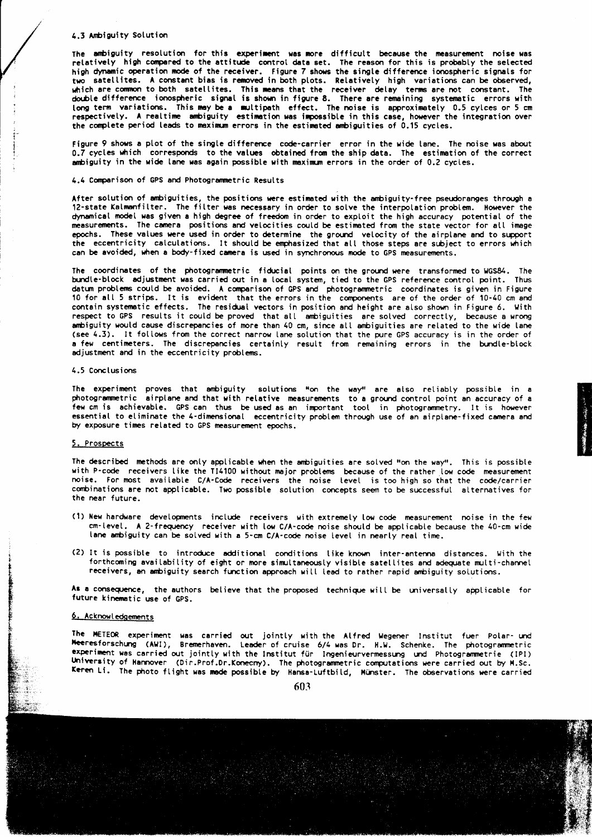### 4.3 Ambiguity Solution

The ambiguity resolution for this experiment was more difficult because the measurement noise was relatively high compared to the attitude control data set. The reason for this is probably the selected<br>high dynamic operation mode of the receiver. Figure 7 shows the single difference ionospheric signals for two satellites. A constant bias is removed in both plots. Relatively high variations can be observed, which are common to both satellites. This means that the receiver delay terms are not constant. The double difference ionospheric signal is shown in figure 8. There are remaining systematic errors with long term variations. This may be a multipath effect. The noise is approximately 0.5 cylces or 5 cm<br>respectively. A realtime ambiguity estimation was impossible in this case, however the integration over the complete period leads to maximum errors in the estimated ambiguities of 0.15 cycles.

Figure 9 shows a plot of the single difference code-carrier error in the wide lane. The noise was about 0.7 cycles which corresponds to the values obtained from the ship data. The estimation of the correct ambiguity in the wide lane was again possible with maximum errors in the order of 0.2 cycles.

## 4.4 Comparison of GPS and Photogrammetric Results

After solution of ambiguities, the positions were estimated with the ambiguity-free pseudoranges through a 12-state Kalmanfilter. The filter was necessary in order to solve the interpolation problem. However the dynamical model was given a high degree of freedom in order to exploit the high accuracy potential of the measurements. The camera positions and velocities could be estimated from the state vector for all image epochs. These values were used in order to determine the ground velocity of the airplane and to support<br>the eccentricity calculations. It should be emphasized that all those steps are subject to errors which can be avoided, when a body-fixed camera is used in synchronous mode to GPS measurements.

The coordinates of the photogrammetric fiducial points on the ground were transformed to WGS84. The bundle-block adjustment was carried out in a local system, tied to the GPS reference control point. Thus datum problems could be avoided. A comparison of GPS and photogrammetric coordinates is given in Figure 10 for all 5 strips. It is evident that the errors in the components are of the order of 10-40 cm and contain systematic effects. The residual vectors in position and height are also shown in Figure 6. With respect to GPS results it could be proved that all ambiguities are solved correctly, because a wrong ambiguity would cause discrepancies of more than 40 cm, since all ambiguities are related to the wide lane (see 4.3). It follows from the correct narrow lane solution that the pure GPS accuracy is in the order of a few centimeters. The discrepancies certainly result from remaining errors in the bundle-block adjustment and in the eccentricity problems.

#### 4.5 Conclusions

The experiment proves that ambiguity solutions "on the way" are also reliably possible in a photogrammetric airplane and that with relative measurements to a ground control point an accuracy of a few cm is achievable. GPS can thus be used as an important tool in photogrammetry. It is however essential to eliminate the 4-dimensional eccentricity problem through use of an airplane-fixed camera and by exposure times related to GPS measurement epochs.

### 5. Prospects

The described methods are only applicable when the ambiguities are solved "on the way". This is possible with P-code receivers like the TI4100 without major problems because of the rather low code measurement noise. For most available C/A-Code receivers the noise level is too high so that the code/carrier combinations are not applicable. Two possible solution concepts seem to be successful alternatives for the near future

- (1) New hardware developments include receivers with extremely low code measurement noise in the few cm-level. A 2-frequency receiver with low C/A-code noise should be applicable because the 40-cm wide tane ambiguity can be solved with a 5-cm C/A-code noise level in nearly real time.
- (2) It is possible to introduce additional conditions like known inter-antenna distances. With the forthcoming availability of eight or more simultaneously visible satellites and adequate multi-channel receivers, an ambiguity search function approach will lead to rather rapid ambiguity solutions.

As a consequence, the authors believe that the proposed technique will be universally applicable for future kinematic use of GPS.

## 6. Acknowledgements

The METEOR experiment was carried out jointly with the Alfred Wegener Institut fuer Polar- und Meeresforschung (AWI), Bremerhaven. Leader of cruise 6/4 was Dr. H.W. Schenke. The photogrammetric experiment was carried out jointly with the Institut für Ingenieurvermessung und Photogrammetrie (IPI) University of Hannover (Dir.Prof.Dr.Konecny). The photogrammetric computations were carried out by M.Sc. Keren Li. The photo flight was mode possible by Hansa-Luftbild, Münster. The observations were carried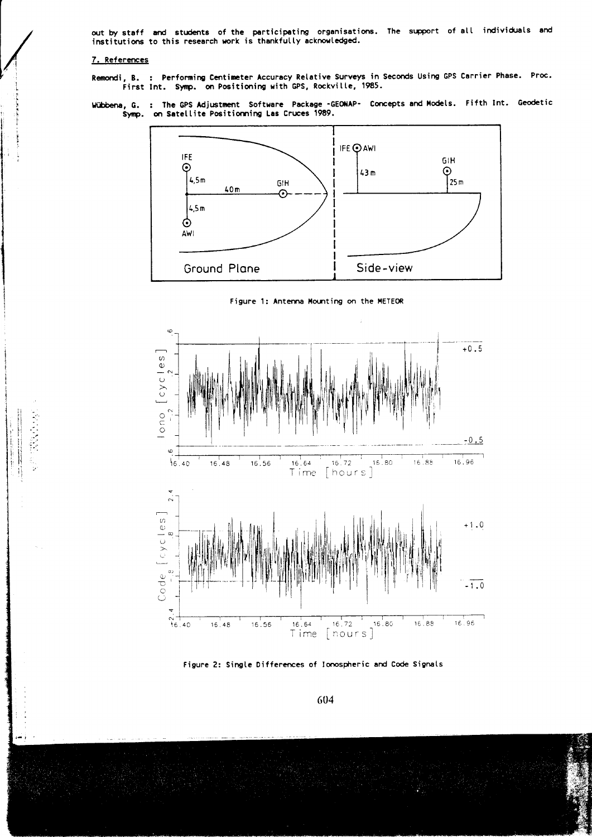out by staff and students of the participating organisations. The support of all individuals and institutions to this research work is thankfully acknowledged.

## 7. References

医舌骨膜 电图

Remondi, B. : Performing Centimeter Accuracy Relative Surveys in Seconds Using GPS Carrier Phase. Proc.<br>First Int. Symp. on Positioning with GPS, Rockville, 1985.

Wübbena, G. : The GPS Adjustment Software Package -GEONAP- Concepts and Models. Fifth Int. Geodetic<br>Symp. on Satellite Positionning Las Cruces 1989.







Figure 2: Single Differences of Ionospheric and Code Signals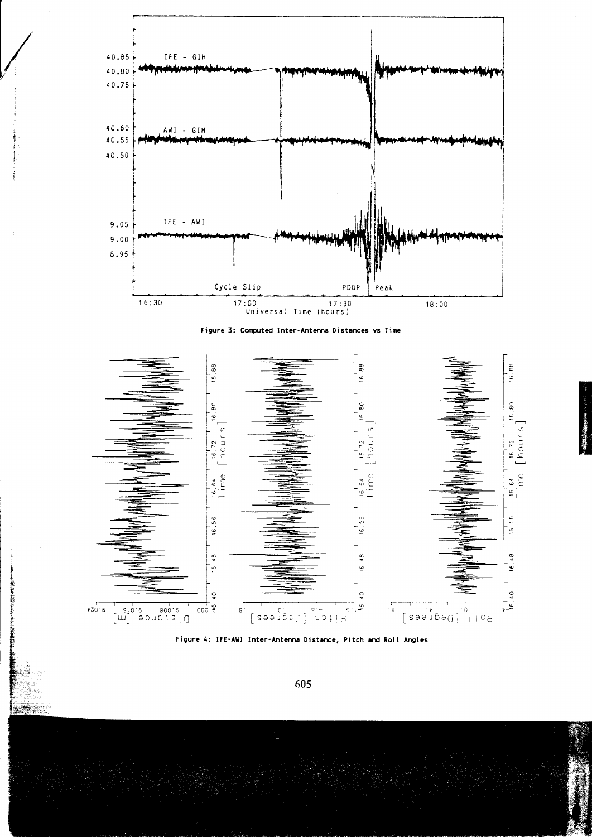





Figure 4: IFE-AWI Inter-Antenna Distance, Pitch and Roll Angles

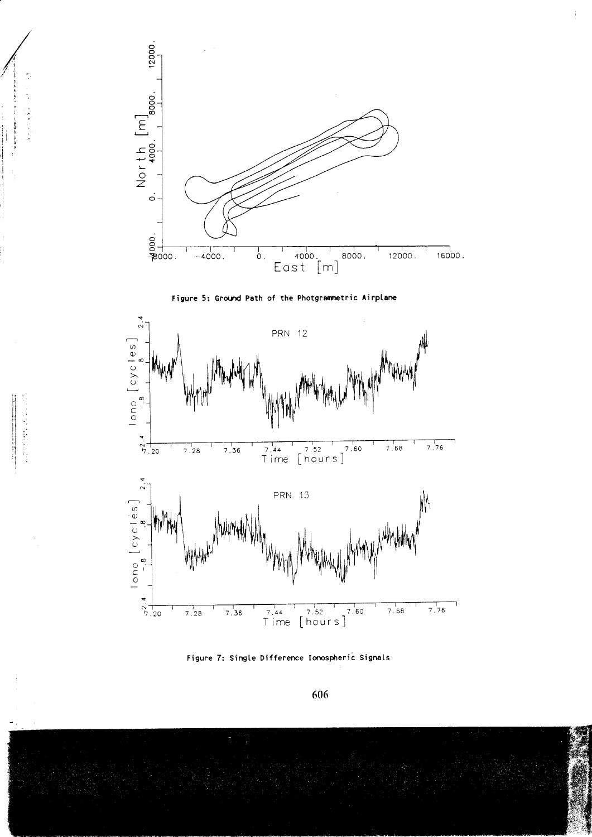

 $\frac{1}{2}$  ,  $\frac{1}{2}$  ,  $\frac{1}{2}$  ,  $\frac{1}{2}$  ,  $\frac{1}{2}$  ,  $\frac{1}{2}$  ,  $\frac{1}{2}$  ,  $\frac{1}{2}$  ,  $\frac{1}{2}$  ,  $\frac{1}{2}$  ,  $\frac{1}{2}$  ,  $\frac{1}{2}$  ,  $\frac{1}{2}$  ,  $\frac{1}{2}$  ,  $\frac{1}{2}$  ,  $\frac{1}{2}$ まくて はしまし 主に重量 中国人民主義 (事) インバー 

> 

 $\frac{1}{2}$ 





Figure 7: Single Difference Ionospheric Signals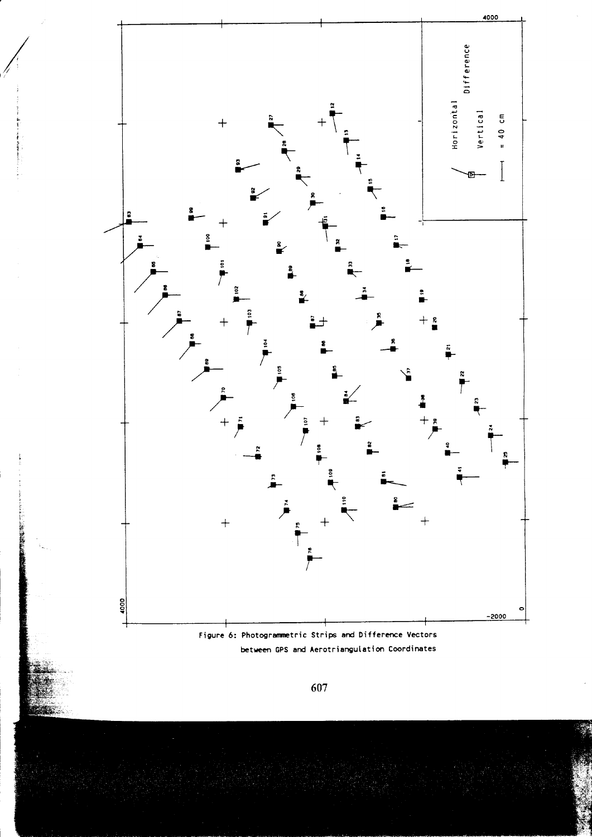

**大阪大学 (大阪)**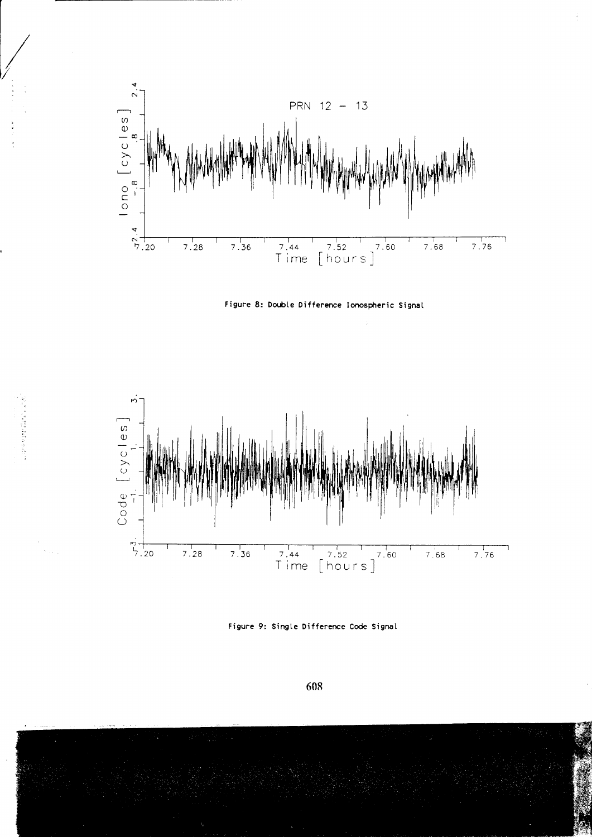

 $\frac{1}{2}$ 





Figure 9: Single Difference Code Signal

608